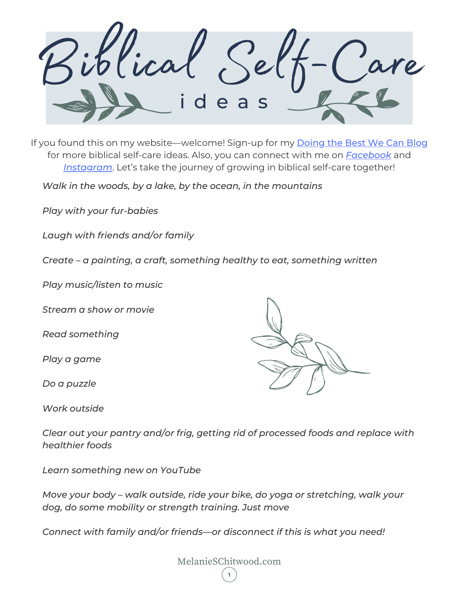Biblical Self-Care d e a s

If you found this on my website—welcome! Sign-up for my **[Doing](https://melanieschitwood.com/blog/) the Best We Can Blog** for more biblical self-care ideas. Also, you can connect with me on *[Facebook](https://www.facebook.com/MelanieSChitwood)* and *[Instagram](https://www.instagram.com/melanieschitwood/)*. Let's take the journey of growing in biblical self-care together!

*Walk in the woods, by a lake, by the ocean, in the mountains*

*Play with your fur-babies*

*Laugh with friends and/or family*

*Create – a painting, a craft, something healthy to eat, something written*

*Play music/listen to music*

*Stream a show or movie*

*Read something*

*Play a game*

*Do a puzzle*

*Work outside*

*Clear out your pantry and/or frig, getting rid of processed foods and replace with healthier foods*

*Learn something new on YouTube*

*Move your body – walk outside, ride your bike, do yoga or stretching, walk your dog, do some mobility or strength training. Just move*

*Connect with family and/or friends—or disconnect if this is what you need!*



MelanieSChitwood.com